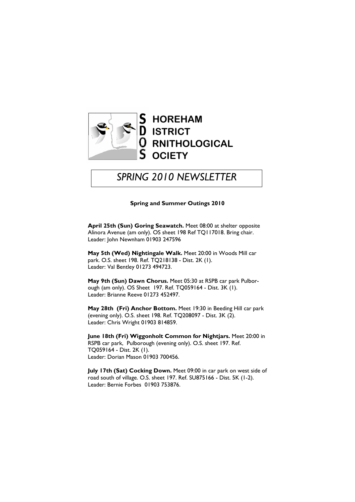

# SPRING 2010 NEWSLETTER

#### Spring and Summer Outings 2010

April 25th (Sun) Goring Seawatch. Meet 08:00 at shelter opposite Alinora Avenue (am only). OS sheet 198 Ref TQ117018. Bring chair. Leader: John Newnham 01903 247596

May 5th (Wed) Nightingale Walk. Meet 20:00 in Woods Mill car park. O.S. sheet 198. Ref. TQ218138 - Dist. 2K (1). Leader: Val Bentley 01273 494723.

May 9th (Sun) Dawn Chorus. Meet 05:30 at RSPB car park Pulborough (am only). OS Sheet 197. Ref. TQ059164 - Dist. 3K (1). Leader: Brianne Reeve 01273 452497.

May 28th (Fri) Anchor Bottom. Meet 19:30 in Beeding Hill car park (evening only). O.S. sheet 198. Ref. TQ208097 - Dist. 3K (2). Leader: Chris Wright 01903 814859.

June 18th (Fri) Wiggonholt Common for Nightjars. Meet 20:00 in RSPB car park, Pulborough (evening only). O.S. sheet 197. Ref. TQ059164 - Dist. 2K (1). Leader: Dorian Mason 01903 700456.

July 17th (Sat) Cocking Down. Meet 09:00 in car park on west side of road south of village. O.S. sheet 197. Ref. SU875166 - Dist. 5K (1-2). Leader: Bernie Forbes 01903 753876.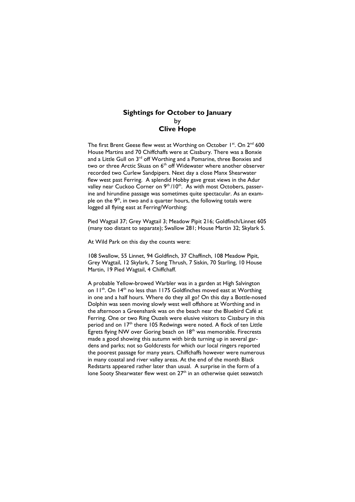## Sightings for October to January by Clive Hope

The first Brent Geese flew west at Worthing on October 1st. On 2<sup>nd</sup> 600 House Martins and 70 Chiffchaffs were at Cissbury. There was a Bonxie and a Little Gull on 3<sup>rd</sup> off Worthing and a Pomarine, three Bonxies and two or three Arctic Skuas on 6<sup>th</sup> off Widewater where another observer recorded two Curlew Sandpipers. Next day a close Manx Shearwater flew west past Ferring. A splendid Hobby gave great views in the Adur valley near Cuckoo Corner on 9<sup>th</sup>/10<sup>th</sup>. As with most Octobers, passerine and hirundine passage was sometimes quite spectacular. As an example on the 9th, in two and a quarter hours, the following totals were logged all flying east at Ferring/Worthing:

Pied Wagtail 37; Grey Wagtail 3; Meadow Pipit 216; Goldfinch/Linnet 605 (many too distant to separate); Swallow 281; House Martin 32; Skylark 5.

At Wild Park on this day the counts were:

108 Swallow, 55 Linnet, 94 Goldfinch, 37 Chaffinch, 108 Meadow Pipit, Grey Wagtail, 12 Skylark, 7 Song Thrush, 7 Siskin, 70 Starling, 10 House Martin, 19 Pied Wagtail, 4 Chiffchaff.

A probable Yellow-browed Warbler was in a garden at High Salvington on 11<sup>th</sup>. On 14<sup>th</sup> no less than 1175 Goldfinches moved east at Worthing in one and a half hours. Where do they all go? On this day a Bottle-nosed Dolphin was seen moving slowly west well offshore at Worthing and in the afternoon a Greenshank was on the beach near the Bluebird Café at Ferring. One or two Ring Ouzels were elusive visitors to Cissbury in this period and on 17<sup>th</sup> there 105 Redwings were noted. A flock of ten Little Egrets flying NW over Goring beach on 18<sup>th</sup> was memorable. Firecrests made a good showing this autumn with birds turning up in several gardens and parks; not so Goldcrests for which our local ringers reported the poorest passage for many years. Chiffchaffs however were numerous in many coastal and river valley areas. At the end of the month Black Redstarts appeared rather later than usual. A surprise in the form of a lone Sooty Shearwater flew west on  $27<sup>th</sup>$  in an otherwise quiet seawatch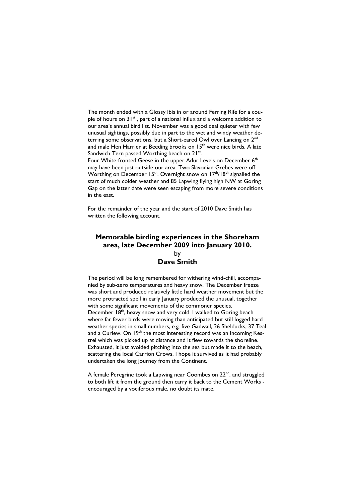The month ended with a Glossy Ibis in or around Ferring Rife for a couple of hours on  $31^{st}$ , part of a national influx and a welcome addition to our area's annual bird list. November was a good deal quieter with few unusual sightings, possibly due in part to the wet and windy weather deterring some observations, but a Short-eared Owl over Lancing on 2<sup>nd</sup> and male Hen Harrier at Beeding brooks on 15<sup>th</sup> were nice birds. A late Sandwich Tern passed Worthing beach on 21<sup>st</sup>.

Four White-fronted Geese in the upper Adur Levels on December 6<sup>th</sup> may have been just outside our area. Two Slavonian Grebes were off Worthing on December 15<sup>th</sup>. Overnight snow on 17<sup>th</sup>/18<sup>th</sup> signalled the start of much colder weather and 85 Lapwing flying high NW at Goring Gap on the latter date were seen escaping from more severe conditions in the east.

For the remainder of the year and the start of 2010 Dave Smith has written the following account.

## Memorable birding experiences in the Shoreham area, late December 2009 into January 2010. by Dave Smith

The period will be long remembered for withering wind-chill, accompanied by sub-zero temperatures and heavy snow. The December freeze was short and produced relatively little hard weather movement but the more protracted spell in early January produced the unusual, together with some significant movements of the commoner species. December 18<sup>th</sup>, heavy snow and very cold. I walked to Goring beach where far fewer birds were moving than anticipated but still logged hard weather species in small numbers, e.g. five Gadwall, 26 Shelducks, 37 Teal and a Curlew. On 19<sup>th</sup> the most interesting record was an incoming Kestrel which was picked up at distance and it flew towards the shoreline. Exhausted, it just avoided pitching into the sea but made it to the beach, scattering the local Carrion Crows. I hope it survived as it had probably undertaken the long journey from the Continent.

A female Peregrine took a Lapwing near Coombes on 22<sup>nd</sup>, and struggled to both lift it from the ground then carry it back to the Cement Works encouraged by a vociferous male, no doubt its mate.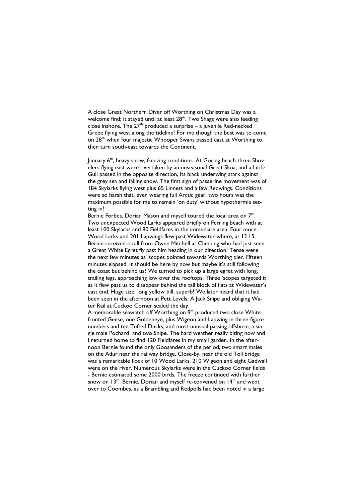A close Great Northern Diver off Worthing on Christmas Day was a welcome find; it stayed until at least  $28<sup>th</sup>$ . Two Shags were also feeding close inshore. The  $27<sup>th</sup>$  produced a surprise – a juvenile Red-necked Grebe flying west along the tideline! For me though the best was to come on 28<sup>th,</sup> when four majestic Whooper Swans passed east at Worthing to then turn south-east towards the Continent.

January 6th, heavy snow, freezing conditions. At Goring beach three Shovelers flying east were overtaken by an unseasonal Great Skua, and a Little Gull passed in the opposite direction, its black underwing stark against the grey sea and falling snow. The first sign of passerine movement was of 184 Skylarks flying west plus 65 Linnets and a few Redwings. Conditions were so harsh that, even wearing full Arctic gear, two hours was the maximum possible for me to remain 'on duty' without hypothermia setting in!

Bernie Forbes, Dorian Mason and myself toured the local area on  $7<sup>th</sup>$ . Two unexpected Wood Larks appeared briefly on Ferring beach with at least 100 Skylarks and 80 Fieldfares in the immediate area. Four more Wood Larks and 201 Lapwings flew past Widewater where, at 12.15, Bernie received a call from Owen Mitchell at Climping who had just seen a Great White Egret fly past him heading in our direction! Tense were the next few minutes as 'scopes pointed towards Worthing pier. Fifteen minutes elapsed. It should be here by now but maybe it's still following the coast but behind us? We turned to pick up a large egret with long, trailing legs, approaching low over the rooftops. Three 'scopes targeted it as it flew past us to disappear behind the tall block of flats at Widewater's east end. Huge size, long yellow bill, superb! We later heard that it had been seen in the afternoon at Pett Levels. A Jack Snipe and obliging Water Rail at Cuckoo Corner sealed the day.

A memorable seawatch off Worthing on  $9<sup>th</sup>$  produced two close Whitefronted Geese, one Goldeneye, plus Wigeon and Lapwing in three-figure numbers and ten Tufted Ducks, and most unusual passing offshore, a single male Pochard and two Snipe. The hard weather really biting now and I returned home to find 120 Fieldfares in my small garden. In the afternoon Bernie found the only Goosanders of the period, two smart males on the Adur near the railway bridge. Close-by, near the old Toll bridge was a remarkable flock of 10 Wood Larks. 210 Wigeon and eight Gadwall were on the river. Numerous Skylarks were in the Cuckoo Corner fields - Bernie estimated some 2000 birds. The freeze continued with further snow on 13<sup>th</sup>. Bernie, Dorian and myself re-convened on 14<sup>th</sup> and went over to Coombes, as a Brambling and Redpolls had been noted in a large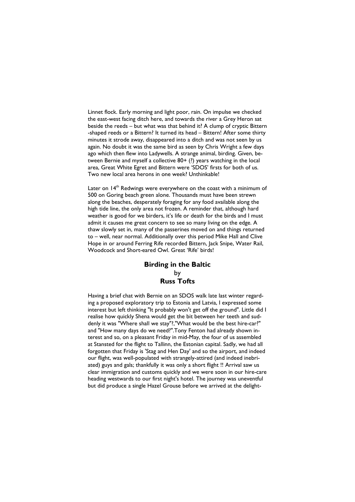Linnet flock. Early morning and light poor, rain. On impulse we checked the east-west facing ditch here, and towards the river a Grey Heron sat beside the reeds – but what was that behind it? A clump of cryptic Bittern -shaped reeds or a Bittern? It turned its head – Bittern! After some thirty minutes it strode away, disappeared into a ditch and was not seen by us again. No doubt it was the same bird as seen by Chris Wright a few days ago which then flew into Ladywells. A strange animal, birding. Given, between Bernie and myself a collective 80+ (?) years watching in the local area, Great White Egret and Bittern were 'SDOS' firsts for both of us. Two new local area herons in one week? Unthinkable!

Later on 14<sup>th</sup> Redwings were everywhere on the coast with a minimum of 500 on Goring beach green alone. Thousands must have been strewn along the beaches, desperately foraging for any food available along the high tide line, the only area not frozen. A reminder that, although hard weather is good for we birders, it's life or death for the birds and I must admit it causes me great concern to see so many living on the edge. A thaw slowly set in, many of the passerines moved on and things returned to – well, near normal. Additionally over this period Mike Hall and Clive Hope in or around Ferring Rife recorded Bittern, Jack Snipe, Water Rail, Woodcock and Short-eared Owl. Great 'Rife' birds!

## Birding in the Baltic by Russ Tofts

Having a brief chat with Bernie on an SDOS walk late last winter regarding a proposed exploratory trip to Estonia and Latvia, I expressed some interest but left thinking "It probably won't get off the ground". Little did I realise how quickly Shena would get the bit between her teeth and suddenly it was "Where shall we stay"?,"What would be the best hire-car?" and "How many days do we need?".Tony Fenton had already shown interest and so, on a pleasant Friday in mid-May, the four of us assembled at Stansted for the flight to Tallinn, the Estonian capital. Sadly, we had all forgotten that Friday is 'Stag and Hen Day' and so the airport, and indeed our flight, was well-populated with strangely-attired (and indeed inebriated) guys and gals; thankfully it was only a short flight !! Arrival saw us clear immigration and customs quickly and we were soon in our hire-care heading westwards to our first night's hotel. The journey was uneventful but did produce a single Hazel Grouse before we arrived at the delight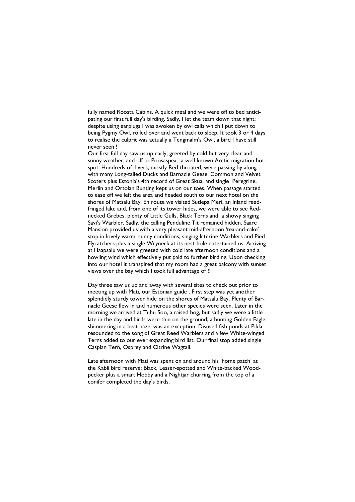fully named Roosta Cabins. A quick meal and we were off to bed anticipating our first full day's birding. Sadly, I let the team down that night; despite using earplugs I was awoken by owl calls which I put down to being Pygmy Owl, rolled over and went back to sleep. It took 3 or 4 days to realise the culprit was actually a Tengmalm's Owl, a bird I have still never seen !

Our first full day saw us up early, greeted by cold but very clear and sunny weather, and off to Poosaspea, a well known Arctic migration hotspot. Hundreds of divers, mostly Red-throated, were passing by along with many Long-tailed Ducks and Barnacle Geese. Common and Velvet Scoters plus Estonia's 4th record of Great Skua, and single Peregrine, Merlin and Ortolan Bunting kept us on our toes. When passage started to ease off we left the area and headed south to our next hotel on the shores of Matsalu Bay. En route we visited Sutlepa Meri, an inland reedfringed lake and, from one of its tower hides, we were able to see Rednecked Grebes, plenty of Little Gulls, Black Terns and a showy singing Savi's Warbler. Sadly, the calling Penduline Tit remained hidden. Saare Mansion provided us with a very pleasant mid-afternoon 'tea-and-cake' stop in lovely warm, sunny conditions; singing Icterine Warblers and Pied Flycatchers plus a single Wryneck at its nest-hole entertained us. Arriving at Haapsalu we were greeted with cold late afternoon conditions and a howling wind which effectively put paid to further birding. Upon checking into our hotel it transpired that my room had a great balcony with sunset views over the bay which I took full advantage of !!

Day three saw us up and away with several sites to check out prior to meeting up with Mati, our Estonian guide . First step was yet another splendidly sturdy tower hide on the shores of Matsalu Bay. Plenty of Barnacle Geese flew in and numerous other species were seen. Later in the morning we arrived at Tuhu Soo, a raised bog, but sadly we were a little late in the day and birds were thin on the ground; a hunting Golden Eagle, shimmering in a heat haze, was an exception. Disused fish ponds at Pikla resounded to the song of Great Reed Warblers and a few White-winged Terns added to our ever expanding bird list. Our final stop added single Caspian Tern, Osprey and Citrine Wagtail.

Late afternoon with Mati was spent on and around his 'home patch' at the Kabli bird reserve; Black, Lesser-spotted and White-backed Woodpecker plus a smart Hobby and a Nightjar churring from the top of a conifer completed the day's birds.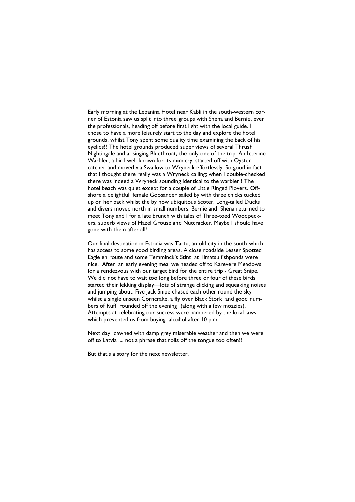Early morning at the Lepanina Hotel near Kabli in the south-western corner of Estonia saw us split into three groups with Shena and Bernie, ever the professionals, heading off before first light with the local guide. I chose to have a more leisurely start to the day and explore the hotel grounds, whilst Tony spent some quality time examining the back of his eyelids!! The hotel grounds produced super views of several Thrush Nightingale and a singing Bluethroat, the only one of the trip. An Icterine Warbler, a bird well-known for its mimicry, started off with Oystercatcher and moved via Swallow to Wryneck effortlessly. So good in fact that I thought there really was a Wryneck calling; when I double-checked there was indeed a Wryneck sounding identical to the warbler ! The hotel beach was quiet except for a couple of Little Ringed Plovers. Offshore a delightful female Goosander sailed by with three chicks tucked up on her back whilst the by now ubiquitous Scoter, Long-tailed Ducks and divers moved north in small numbers. Bernie and Shena returned to meet Tony and I for a late brunch with tales of Three-toed Woodpeckers, superb views of Hazel Grouse and Nutcracker. Maybe I should have gone with them after all!

Our final destination in Estonia was Tartu, an old city in the south which has access to some good birding areas. A close roadside Lesser Spotted Eagle en route and some Temminck's Stint at Ilmatsu fishponds were nice. After an early evening meal we headed off to Karevere Meadows for a rendezvous with our target bird for the entire trip - Great Snipe. We did not have to wait too long before three or four of these birds started their lekking display—lots of strange clicking and squeaking noises and jumping about. Five Jack Snipe chased each other round the sky whilst a single unseen Corncrake, a fly over Black Stork and good numbers of Ruff rounded off the evening (along with a few mozzies). Attempts at celebrating our success were hampered by the local laws which prevented us from buying alcohol after 10 p.m.

Next day dawned with damp grey miserable weather and then we were off to Latvia .... not a phrase that rolls off the tongue too often!!

But that's a story for the next newsletter.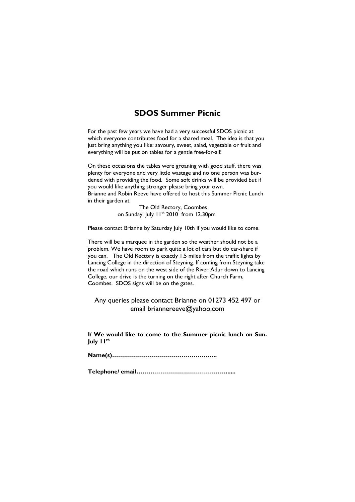## SDOS Summer Picnic

For the past few years we have had a very successful SDOS picnic at which everyone contributes food for a shared meal. The idea is that you just bring anything you like: savoury, sweet, salad, vegetable or fruit and everything will be put on tables for a gentle free-for-all!

On these occasions the tables were groaning with good stuff, there was plenty for everyone and very little wastage and no one person was burdened with providing the food. Some soft drinks will be provided but if you would like anything stronger please bring your own. Brianne and Robin Reeve have offered to host this Summer Picnic Lunch in their garden at

 The Old Rectory, Coombes on Sunday, July 11<sup>th</sup> 2010 from 12.30pm

Please contact Brianne by Saturday July 10th if you would like to come.

There will be a marquee in the garden so the weather should not be a problem. We have room to park quite a lot of cars but do car-share if you can. The Old Rectory is exactly 1.5 miles from the traffic lights by Lancing College in the direction of Steyning. If coming from Steyning take the road which runs on the west side of the River Adur down to Lancing College, our drive is the turning on the right after Church Farm, Coombes. SDOS signs will be on the gates.

Any queries please contact Brianne on 01273 452 497 or email briannereeve@yahoo.com

I/ We would like to come to the Summer picnic lunch on Sun. July 11th

Name(s)……………………………………………..

Telephone/ email………………………………………......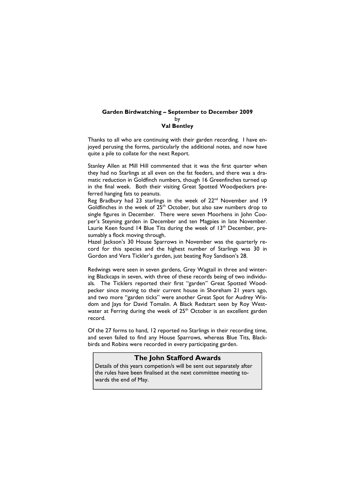#### Garden Birdwatching – September to December 2009 by Val Bentley

Thanks to all who are continuing with their garden recording. I have enjoyed perusing the forms, particularly the additional notes, and now have quite a pile to collate for the next Report.

Stanley Allen at Mill Hill commented that it was the first quarter when they had no Starlings at all even on the fat feeders, and there was a dramatic reduction in Goldfinch numbers, though 16 Greenfinches turned up in the final week. Both their visiting Great Spotted Woodpeckers preferred hanging fats to peanuts.

Reg Bradbury had 23 starlings in the week of 22<sup>nd</sup> November and 19 Goldfinches in the week of  $25<sup>th</sup>$  October, but also saw numbers drop to single figures in December. There were seven Moorhens in John Cooper's Steyning garden in December and ten Magpies in late November. Laurie Keen found 14 Blue Tits during the week of 13<sup>th</sup> December, presumably a flock moving through.

Hazel Jackson's 30 House Sparrows in November was the quarterly record for this species and the highest number of Starlings was 30 in Gordon and Vera Tickler's garden, just beating Roy Sandison's 28.

Redwings were seen in seven gardens, Grey Wagtail in three and wintering Blackcaps in seven, with three of these records being of two individuals. The Ticklers reported their first "garden" Great Spotted Woodpecker since moving to their current house in Shoreham 21 years ago, and two more "garden ticks" were another Great Spot for Audrey Wisdom and lays for David Tomalin. A Black Redstart seen by Roy Westwater at Ferring during the week of 25<sup>th</sup> October is an excellent garden record.

Of the 27 forms to hand, 12 reported no Starlings in their recording time, and seven failed to find any House Sparrows, whereas Blue Tits, Blackbirds and Robins were recorded in every participating garden.

### The John Stafford Awards

Details of this years competion/s will be sent out separately after the rules have been finalised at the next committee meeting towards the end of May.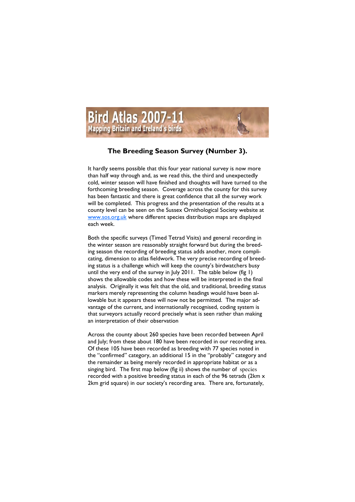

## The Breeding Season Survey (Number 3).

It hardly seems possible that this four year national survey is now more than half way through and, as we read this, the third and unexpectedly cold, winter season will have finished and thoughts will have turned to the forthcoming breeding season. Coverage across the county for this survey has been fantastic and there is great confidence that all the survey work will be completed. This progress and the presentation of the results at a county level can be seen on the Sussex Ornithological Society website at www.sos.org.uk where different species distribution maps are displayed each week.

Both the specific surveys (Timed Tetrad Visits) and general recording in the winter season are reasonably straight forward but during the breeding season the recording of breeding status adds another, more complicating, dimension to atlas fieldwork. The very precise recording of breeding status is a challenge which will keep the county's birdwatchers busy until the very end of the survey in July 2011. The table below (fig 1) shows the allowable codes and how these will be interpreted in the final analysis. Originally it was felt that the old, and traditional, breeding status markers merely representing the column headings would have been allowable but it appears these will now not be permitted. The major advantage of the current, and internationally recognised, coding system is that surveyors actually record precisely what is seen rather than making an interpretation of their observation

Across the county about 260 species have been recorded between April and July; from these about 180 have been recorded in our recording area. Of these 105 have been recorded as breeding with 77 species noted in the "confirmed" category, an additional 15 in the "probably" category and the remainder as being merely recorded in appropriate habitat or as a singing bird. The first map below (fig ii) shows the number of species recorded with a positive breeding status in each of the 96 tetrads (2km x 2km grid square) in our society's recording area. There are, fortunately,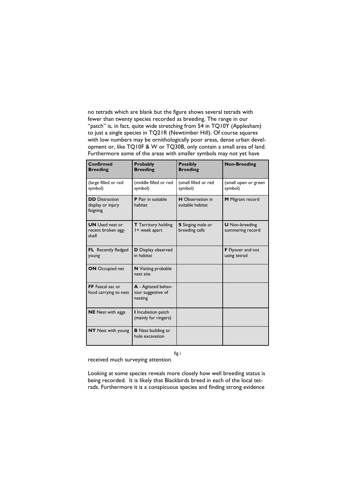no tetrads which are blank but the figure shows several tetrads with fewer than twenty species recorded as breeding. The range in our "patch" is, in fact, quite wide stretching from 54 in TQ10Y (Applesham) to just a single species in TQ21R (Newtimber Hill). Of course squares with low numbers may be ornithologically poor areas, dense urban development or, like TQ10F & W or TQ30B, only contain a small area of land. Furthermore some of the areas with smaller symbols may not yet have

| Confirmed<br><b>Breeding</b>                           | <b>Probably</b><br><b>Breeding</b>                   | <b>Possibly</b><br><b>Breeding</b>          | <b>Non-Breeding</b>                       |
|--------------------------------------------------------|------------------------------------------------------|---------------------------------------------|-------------------------------------------|
| (large filled or red<br>symbol)                        | (middle filled or red<br>symbol)                     | (small filled or red<br>symbol)             | (small open or green<br>symbol)           |
| <b>DD</b> Distraction<br>display or injury<br>feigning | P Pair in suitable<br>habitat                        | <b>H</b> Observation in<br>suitable habitat | M Migrant record                          |
| <b>UN</b> Used nest or<br>recent broken egg-<br>shell  | <b>T</b> Territory holding<br>I + week apart         | <b>S</b> Singing male or<br>breeding calls  | <b>U</b> Non-breeding<br>summering record |
| <b>FL</b> Recently fledged<br>young                    | <b>D</b> Display observed<br>in habitat              |                                             | <b>F</b> Flyover and not<br>using tetrad  |
| <b>ON</b> Occupied net                                 | <b>N</b> Visiting probable<br>nest site              |                                             |                                           |
| FF Faecal sac or<br>food carrying to nest              | A - Agitated behav-<br>iour suggestive of<br>nesting |                                             |                                           |
| <b>NE</b> Nest with eggs                               | I Incubation patch<br>(mainly for ringers)           |                                             |                                           |
| <b>NY</b> Nest with young                              | <b>B</b> Nest building or<br>hole excavation         |                                             |                                           |

fig i

received much surveying attention.

Looking at some species reveals more closely how well breeding status is being recorded. It is likely that Blackbirds breed in each of the local tetrads. Furthermore it is a conspicuous species and finding strong evidence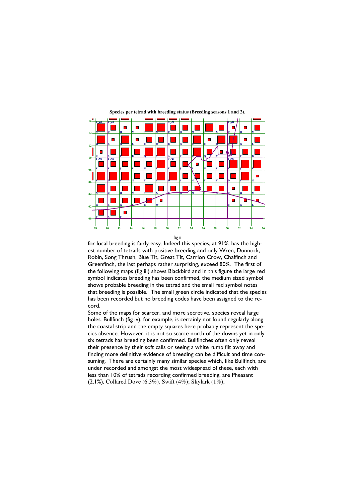

**Species per tetrad with breeding status (Breeding seasons 1 and 2).** 

for local breeding is fairly easy. Indeed this species, at 91%, has the highest number of tetrads with positive breeding and only Wren, Dunnock, Robin, Song Thrush, Blue Tit, Great Tit, Carrion Crow, Chaffinch and Greenfinch, the last perhaps rather surprising, exceed 80%. The first of the following maps (fig iii) shows Blackbird and in this figure the large red symbol indicates breeding has been confirmed, the medium sized symbol shows probable breeding in the tetrad and the small red symbol notes that breeding is possible. The small green circle indicated that the species has been recorded but no breeding codes have been assigned to the record.

Some of the maps for scarcer, and more secretive, species reveal large holes. Bullfinch (fig iv), for example, is certainly not found regularly along the coastal strip and the empty squares here probably represent the species absence. However, it is not so scarce north of the downs yet in only six tetrads has breeding been confirmed. Bullfinches often only reveal their presence by their soft calls or seeing a white rump flit away and finding more definitive evidence of breeding can be difficult and time consuming. There are certainly many similar species which, like Bullfinch, are under recorded and amongst the most widespread of these, each with less than 10% of tetrads recording confirmed breeding, are Pheasant (2.1%), Collared Dove (6.3%), Swift (4%); Skylark (1%),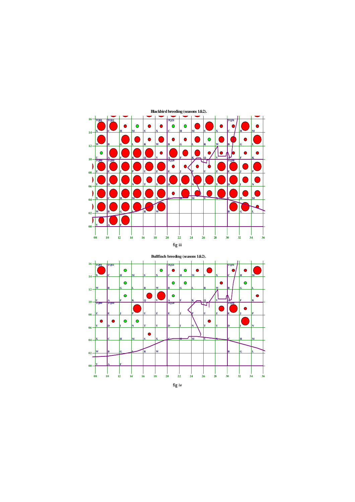

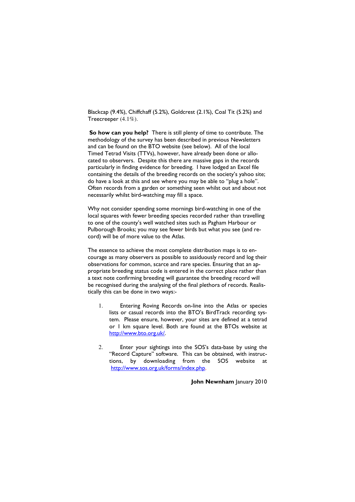Blackcap (9.4%), Chiffchaff (5.2%), Goldcrest (2.1%), Coal Tit (5.2%) and Treecreeper (4.1%).

So how can you help? There is still plenty of time to contribute. The methodology of the survey has been described in previous Newsletters and can be found on the BTO website (see below). All of the local Timed Tetrad Visits (TTVs), however, have already been done or allocated to observers. Despite this there are massive gaps in the records particularly in finding evidence for breeding. I have lodged an Excel file containing the details of the breeding records on the society's yahoo site; do have a look at this and see where you may be able to "plug a hole". Often records from a garden or something seen whilst out and about not necessarily whilst bird-watching may fill a space.

Why not consider spending some mornings bird-watching in one of the local squares with fewer breeding species recorded rather than travelling to one of the county's well watched sites such as Pagham Harbour or Pulborough Brooks; you may see fewer birds but what you see (and record) will be of more value to the Atlas.

The essence to achieve the most complete distribution maps is to encourage as many observers as possible to assiduously record and log their observations for common, scarce and rare species. Ensuring that an appropriate breeding status code is entered in the correct place rather than a text note confirming breeding will guarantee the breeding record will be recognised during the analysing of the final plethora of records. Realistically this can be done in two ways:-

- 1. Entering Roving Records on-line into the Atlas or species lists or casual records into the BTO's BirdTrack recording system. Please ensure, however, your sites are defined at a tetrad or 1 km square level. Both are found at the BTOs website at http://www.bto.org.uk/.
- 2. Enter your sightings into the SOS's data-base by using the "Record Capture" software. This can be obtained, with instructions, by downloading from the SOS website at http://www.sos.org.uk/forms/index.php.

John Newnham January 2010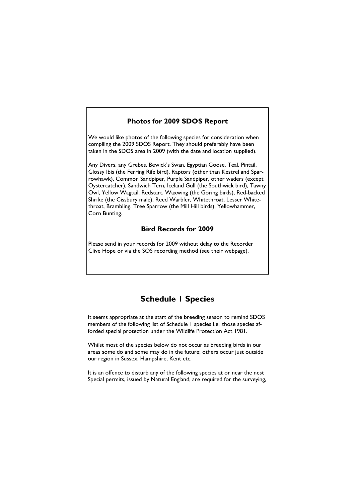## Photos for 2009 SDOS Report

We would like photos of the following species for consideration when compiling the 2009 SDOS Report. They should preferably have been taken in the SDOS area in 2009 (with the date and location supplied).

Any Divers, any Grebes, Bewick's Swan, Egyptian Goose, Teal, Pintail, Glossy Ibis (the Ferring Rife bird), Raptors (other than Kestrel and Sparrowhawk), Common Sandpiper, Purple Sandpiper, other waders (except Oystercatcher), Sandwich Tern, Iceland Gull (the Southwick bird), Tawny Owl, Yellow Wagtail, Redstart, Waxwing (the Goring birds), Red-backed Shrike (the Cissbury male), Reed Warbler, Whitethroat, Lesser Whitethroat, Brambling, Tree Sparrow (the Mill Hill birds), Yellowhammer, Corn Bunting.

## Bird Records for 2009

Please send in your records for 2009 without delay to the Recorder Clive Hope or via the SOS recording method (see their webpage).

## Schedule 1 Species

It seems appropriate at the start of the breeding season to remind SDOS members of the following list of Schedule 1 species i.e. those species afforded special protection under the Wildlife Protection Act 1981.

Whilst most of the species below do not occur as breeding birds in our areas some do and some may do in the future; others occur just outside our region in Sussex, Hampshire, Kent etc.

It is an offence to disturb any of the following species at or near the nest Special permits, issued by Natural England, are required for the surveying,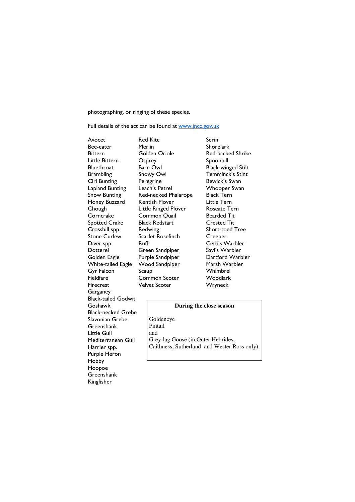photographing, or ringing of these species.

Full details of the act can be found at www.jncc.gov.uk

Bee-eater Merlin Honey Buzzard Kentish Plover White-tailed Eagle Wood Sandpiper Firecrest Velvet Scoter Wryneck **Garganey** Black-tailed Godwit Goshawk Black-necked Grebe Slavonian Grebe **Greenshank** Little Gull Mediterranean Gull Harrier spp. Purple Heron Hobby Hoopoe **Greenshank** Kingfisher

Avocet Red Kite Serin Bittern Golden Oriole Red-backed Shrike Little Bittern Csprey Spoonbill Bluethroat Barn Owl Black-winged Stilt Brambling Snowy Owl Temminck's Stint Cirl Bunting Peregrine **Bewick's Swan** Lapland Bunting Leach's Petrel Whooper Swan Snow Bunting Red-necked Phalarope Black Tern<br>Honev Buzzard Kentish Plover Little Tern Chough Little Ringed Plover Roseate Tern Corncrake Common Quail Bearded Tit Spotted Crake Black Redstart Crested Tit Crossbill spp. Redwing Short-toed Tree Scarlet Rosefinch Creeper Diver spp. Ruff Cetti's Warbler Dotterel Green Sandpiper Savi's Warbler Golden Eagle Furple Sandpiper Burtford Warbler<br>
20 White-tailed Eagle Nood Sandpiper Marsh Warbler Gyr Falcon Scaup Whimbrel Fieldfare Common Scoter Woodlark

#### **During the close season**

Goldeneye Pintail and Grey-lag Goose (in Outer Hebrides, Caithness, Sutherland and Wester Ross only)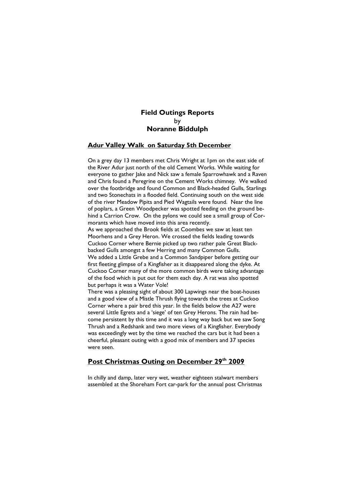## Field Outings Reports by Noranne Biddulph

#### Adur Valley Walk on Saturday 5th December

On a grey day 13 members met Chris Wright at 1pm on the east side of the River Adur just north of the old Cement Works. While waiting for everyone to gather lake and Nick saw a female Sparrowhawk and a Raven and Chris found a Peregrine on the Cement Works chimney. We walked over the footbridge and found Common and Black-headed Gulls, Starlings and two Stonechats in a flooded field. Continuing south on the west side of the river Meadow Pipits and Pied Wagtails were found. Near the line of poplars, a Green Woodpecker was spotted feeding on the ground behind a Carrion Crow. On the pylons we could see a small group of Cormorants which have moved into this area recently.

As we approached the Brook fields at Coombes we saw at least ten Moorhens and a Grey Heron. We crossed the fields leading towards Cuckoo Corner where Bernie picked up two rather pale Great Blackbacked Gulls amongst a few Herring and many Common Gulls. We added a Little Grebe and a Common Sandpiper before getting our first fleeting glimpse of a Kingfisher as it disappeared along the dyke. At Cuckoo Corner many of the more common birds were taking advantage of the food which is put out for them each day. A rat was also spotted

but perhaps it was a Water Vole!

There was a pleasing sight of about 300 Lapwings near the boat-houses and a good view of a Mistle Thrush flying towards the trees at Cuckoo Corner where a pair bred this year. In the fields below the A27 were several Little Egrets and a 'siege' of ten Grey Herons. The rain had become persistent by this time and it was a long way back but we saw Song Thrush and a Redshank and two more views of a Kingfisher. Everybody was exceedingly wet by the time we reached the cars but it had been a cheerful, pleasant outing with a good mix of members and 37 species were seen.

## Post Christmas Outing on December 29th 2009

In chilly and damp, later very wet, weather eighteen stalwart members assembled at the Shoreham Fort car-park for the annual post Christmas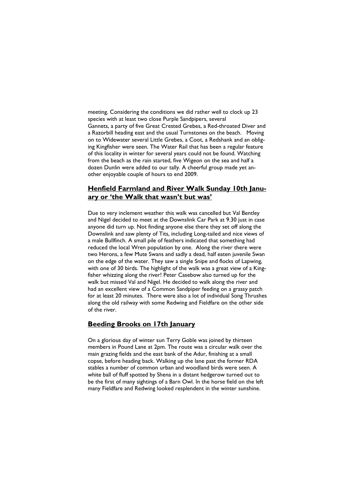meeting. Considering the conditions we did rather well to clock up 23 species with at least two close Purple Sandpipers, several Gannets, a party of five Great Crested Grebes, a Red-throated Diver and a Razorbill heading east and the usual Turnstones on the beach. Moving on to Widewater several Little Grebes, a Coot, a Redshank and an obliging Kingfisher were seen. The Water Rail that has been a regular feature of this locality in winter for several years could not be found. Watching from the beach as the rain started, five Wigeon on the sea and half a dozen Dunlin were added to our tally. A cheerful group made yet another enjoyable couple of hours to end 2009.

## Henfield Farmland and River Walk Sunday 10th January or 'the Walk that wasn't but was'

Due to very inclement weather this walk was cancelled but Val Bentley and Nigel decided to meet at the Downslink Car Park at 9.30 just in case anyone did turn up. Not finding anyone else there they set off along the Downslink and saw plenty of Tits, including Long-tailed and nice views of a male Bullfinch. A small pile of feathers indicated that something had reduced the local Wren population by one. Along the river there were two Herons, a few Mute Swans and sadly a dead, half eaten juvenile Swan on the edge of the water. They saw a single Snipe and flocks of Lapwing, with one of 30 birds. The highlight of the walk was a great view of a Kingfisher whizzing along the river! Peter Casebow also turned up for the walk but missed Val and Nigel. He decided to walk along the river and had an excellent view of a Common Sandpiper feeding on a grassy patch for at least 20 minutes. There were also a lot of individual Song Thrushes along the old railway with some Redwing and Fieldfare on the other side of the river.

#### Beeding Brooks on 17th January

On a glorious day of winter sun Terry Goble was joined by thirteen members in Pound Lane at 2pm. The route was a circular walk over the main grazing fields and the east bank of the Adur, finishing at a small copse, before heading back. Walking up the lane past the former RDA stables a number of common urban and woodland birds were seen. A white ball of fluff spotted by Shena in a distant hedgerow turned out to be the first of many sightings of a Barn Owl. In the horse field on the left many Fieldfare and Redwing looked resplendent in the winter sunshine.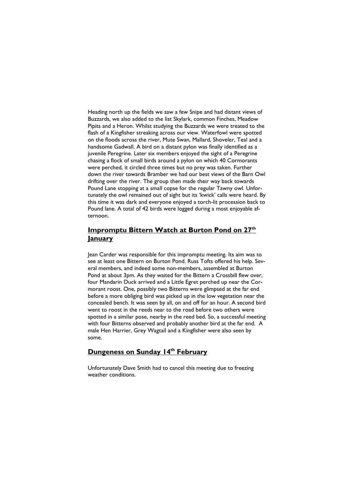Heading north up the fields we saw a few Snipe and had distant views of Buzzards, we also added to the list Skylark, common Finches, Meadow Pipits and a Heron. Whilst studying the Buzzards we were treated to the flash of a Kingfisher streaking across our view. Waterfowl were spotted on the floods across the river, Mute Swan, Mallard, Shoveler, Teal and a handsome Gadwall. A bird on a distant pylon was finally identified as a juvenile Peregrine. Later six members enjoyed the sight of a Peregrine chasing a flock of small birds around a pylon on which 40 Cormorants were perched, it circled three times but no prey was taken. Further down the river towards Bramber we had our best views of the Barn Owl drifting over the river. The group then made their way back towards Pound Lane stopping at a small copse for the regular Tawny owl. Unfortunately the owl remained out of sight but its 'kwick' calls were heard. By this time it was dark and everyone enjoyed a torch-lit procession back to Pound lane. A total of 42 birds were logged during a most enjoyable afternoon.

## Impromptu Bittern Watch at Burton Pond on 27<sup>th</sup> January

Jean Carder was responsible for this impromptu meeting. Its aim was to see at least one Bittern on Burton Pond. Russ Tofts offered his help. Several members, and indeed some non-members, assembled at Burton Pond at about 3pm. As they waited for the Bittern a Crossbill flew over, four Mandarin Duck arrived and a Little Egret perched up near the Cormorant roost. One, possibly two Bitterns were glimpsed at the far end before a more obliging bird was picked up in the low vegetation near the concealed bench. It was seen by all, on and off for an hour. A second bird went to roost in the reeds near to the road before two others were spotted in a similar pose, nearby in the reed bed. So, a successful meeting with four Bitterns observed and probably another bird at the far end. A male Hen Harrier, Grey Wagtail and a Kingfisher were also seen by some.

## Dungeness on Sunday 14th February

Unfortunately Dave Smith had to cancel this meeting due to freezing weather conditions.